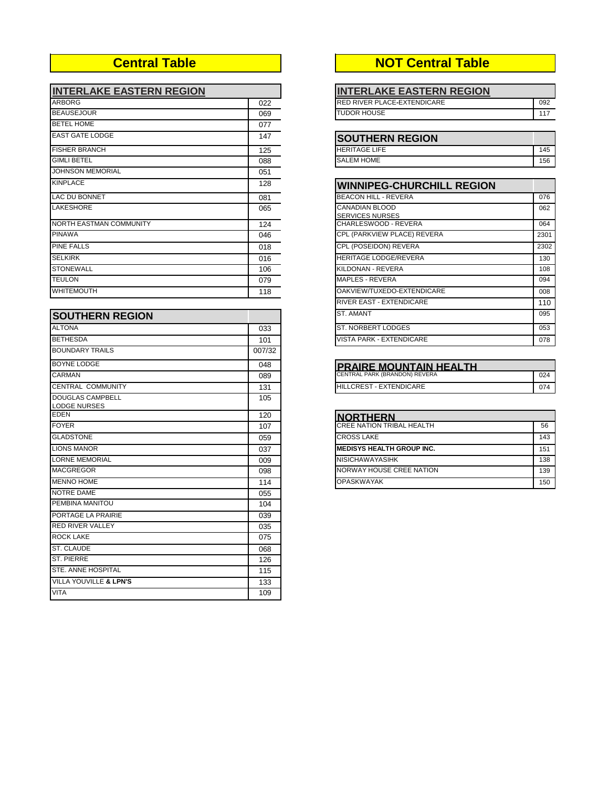| <b>INTERLAKE EASTERN REGION</b> |     | <b>INTERLAKE EASTERN REGION</b>                 |      |
|---------------------------------|-----|-------------------------------------------------|------|
| <b>ARBORG</b>                   | 022 | RED RIVER PLACE-EXTENDICARE                     | 092  |
| <b>BEAUSEJOUR</b>               | 069 | <b>TUDOR HOUSE</b>                              | 117  |
| <b>BETEL HOME</b>               | 077 |                                                 |      |
| <b>EAST GATE LODGE</b>          | 147 | <b>SOUTHERN REGION</b>                          |      |
| <b>FISHER BRANCH</b>            | 125 | <b>HERITAGE LIFE</b>                            | 145  |
| <b>GIMLI BETEL</b>              | 088 | <b>SALEM HOME</b>                               | 156  |
| <b>JOHNSON MEMORIAL</b>         | 051 |                                                 |      |
| <b>KINPLACE</b>                 | 128 | <b>WINNIPEG-CHURCHILL REGION</b>                |      |
| <b>LAC DU BONNET</b>            | 081 | <b>BEACON HILL - REVERA</b>                     | 076  |
| <b>LAKESHORE</b>                | 065 | <b>CANADIAN BLOOD</b><br><b>SERVICES NURSES</b> | 062  |
| NORTH EASTMAN COMMUNITY         | 124 | CHARLESWOOD - REVERA                            | 064  |
| <b>PINAWA</b>                   | 046 | CPL (PARKVIEW PLACE) REVERA                     | 2301 |
| <b>PINE FALLS</b>               | 018 | CPL (POSEIDON) REVERA                           | 2302 |
| <b>SELKIRK</b>                  | 016 | <b>HERITAGE LODGE/REVERA</b>                    | 130  |
| <b>STONEWALL</b>                | 106 | KILDONAN - REVERA                               | 108  |
| <b>TEULON</b>                   | 079 | <b>MAPLES - REVERA</b>                          | 094  |
| WHITEMOUTH                      | 118 | OAKVIEW/TUXEDO-EXTENDICARE                      | 008  |

| <b>SOUTHERN REGION</b>                         |        | <b>ST. AMANT</b>                 | 095 |
|------------------------------------------------|--------|----------------------------------|-----|
| <b>ALTONA</b>                                  | 033    | <b>ST. NORBERT LODGES</b>        | 053 |
| <b>BETHESDA</b>                                | 101    | <b>VISTA PARK - EXTENDICARE</b>  | 078 |
| <b>BOUNDARY TRAILS</b>                         | 007/32 |                                  |     |
| <b>BOYNE LODGE</b>                             | 048    | <b>PRAIRE MOUNTAIN HEALTH</b>    |     |
| <b>CARMAN</b>                                  | 089    | CENTRAL PARK (BRANDON) REVERA    | 024 |
| <b>CENTRAL COMMUNITY</b>                       | 131    | <b>HILLCREST - EXTENDICARE</b>   | 074 |
| <b>DOUGLAS CAMPBELL</b><br><b>LODGE NURSES</b> | 105    |                                  |     |
| <b>EDEN</b>                                    | 120    | <b>NORTHERN</b>                  |     |
| <b>FOYER</b>                                   | 107    | <b>CREE NATION TRIBAL HEALTH</b> | 56  |
| <b>GLADSTONE</b>                               | 059    | <b>CROSS LAKE</b>                | 143 |
| <b>LIONS MANOR</b>                             | 037    | <b>MEDISYS HEALTH GROUP INC.</b> | 151 |
| <b>LORNE MEMORIAL</b>                          | 009    | <b>NISICHAWAYASIHK</b>           | 138 |
| <b>MACGREGOR</b>                               | 098    | NORWAY HOUSE CREE NATION         | 139 |
| <b>MENNO HOME</b>                              | 114    | <b>OPASKWAYAK</b>                | 150 |
| NOTRE DAME                                     | 055    |                                  |     |
| PEMBINA MANITOU                                | 104    |                                  |     |
| PORTAGE LA PRAIRIE                             | 039    |                                  |     |
| <b>RED RIVER VALLEY</b>                        | 035    |                                  |     |
| <b>ROCK LAKE</b>                               | 075    |                                  |     |
| <b>ST. CLAUDE</b>                              | 068    |                                  |     |
| <b>ST. PIERRE</b>                              | 126    |                                  |     |
| <b>STE. ANNE HOSPITAL</b>                      | 115    |                                  |     |
| <b>VILLA YOUVILLE &amp; LPN'S</b>              | 133    |                                  |     |
| <b>VITA</b>                                    | 109    |                                  |     |

## **Central Table NOT Central Table**

| <b>INTERLAKE EASTERN REGION</b>    |     |
|------------------------------------|-----|
| <b>RED RIVER PLACE-EXTENDICARE</b> | 092 |
| TUDOR HOUSE                        |     |

| <b>ISOUTHERN REGION</b> |     |
|-------------------------|-----|
| <b>HERITAGE LIFE</b>    |     |
| <b>SALEM HOME</b>       | 156 |

| <b>WINNIPEG-CHURCHILL REGION</b>         |      |
|------------------------------------------|------|
| <b>BEACON HILL - REVERA</b>              | 076  |
| CANADIAN BLOOD<br><b>SERVICES NURSES</b> | 062  |
| CHARLESWOOD - REVERA                     | 064  |
| CPL (PARKVIEW PLACE) REVERA              | 2301 |
| CPL (POSEIDON) REVERA                    | 2302 |
| <b>HERITAGE LODGE/REVERA</b>             | 130  |
| KILDONAN - REVERA                        | 108  |
| MAPLES - REVERA                          | 094  |
| OAKVIEW/TUXEDO-EXTENDICARE               | 008  |
| <b>RIVER EAST - EXTENDICARE</b>          | 110  |
| <b>ST. AMANT</b>                         | 095  |
| ST. NORBERT LODGES                       | 053  |
| <b>VISTA PARK - EXTENDICARE</b>          | 078  |

| <b>PRAIRE MOUNTAIN HEALTH</b>  |     |
|--------------------------------|-----|
| CENTRAL PARK (BRANDON) REVERA  | 024 |
| <b>HILLCREST - EXTENDICARE</b> |     |

| INORTHERN                         |     |
|-----------------------------------|-----|
| <b>ICREE NATION TRIBAL HEALTH</b> | 56  |
| <b>CROSS LAKE</b>                 | 143 |
| <b>IMEDISYS HEALTH GROUP INC.</b> | 151 |
| <b>NISICHAWAYASIHK</b>            | 138 |
| NORWAY HOUSE CREE NATION          | 139 |
| <b>OPASKWAYAK</b>                 | 150 |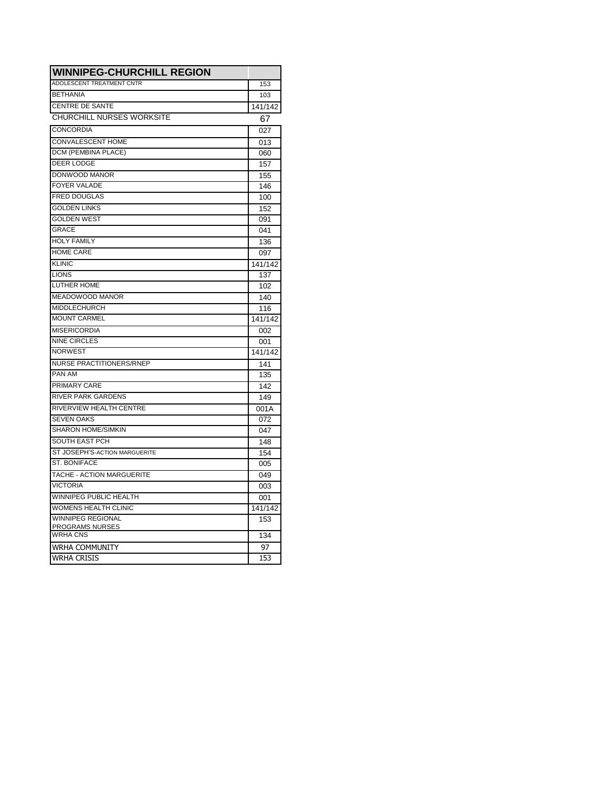| <b>WINNIPEG-CHURCHILL REGION</b>          |         |
|-------------------------------------------|---------|
| <b>ADOLESCENT TREATMENT CNTR</b>          | 153     |
| <b>BETHANIA</b>                           | 103     |
| <b>CENTRE DE SANTE</b>                    | 141/142 |
| <b>CHURCHILL NURSES WORKSITE</b>          | 67      |
| CONCORDIA                                 | 027     |
| <b>CONVALESCENT HOME</b>                  | 013     |
| DCM (PEMBINA PLACE)                       | 060     |
| <b>DEER LODGE</b>                         | 157     |
| DONWOOD MANOR                             | 155     |
| <b>FOYER VALADE</b>                       | 146     |
| <b>FRED DOUGLAS</b>                       | 100     |
| <b>GOLDEN LINKS</b>                       | 152     |
| <b>GOLDEN WEST</b>                        | 091     |
| <b>GRACE</b>                              | 041     |
| <b>HOLY FAMILY</b>                        | 136     |
| <b>HOME CARE</b>                          | 097     |
| <b>KLINIC</b>                             | 141/142 |
| <b>LIONS</b>                              | 137     |
| <b>LUTHER HOME</b>                        | 102     |
| MEADOWOOD MANOR                           | 140     |
| <b>MIDDLECHURCH</b>                       | 116     |
| <b>MOUNT CARMEL</b>                       | 141/142 |
| <b>MISERICORDIA</b>                       | 002     |
| <b>NINE CIRCLES</b>                       | 001     |
| <b>NORWEST</b>                            | 141/142 |
| <b>NURSE PRACTITIONERS/RNEP</b>           | 141     |
| PAN AM                                    | 135     |
| <b>PRIMARY CARE</b>                       | 142     |
| <b>RIVER PARK GARDENS</b>                 | 149     |
| RIVERVIEW HEALTH CENTRE                   | 001A    |
| <b>SEVEN OAKS</b>                         | 072     |
| <b>SHARON HOME/SIMKIN</b>                 | 047     |
| <b>SOUTH EAST PCH</b>                     | 148     |
| ST JOSEPH'S-ACTION MARGUERITE             | 154     |
| <b>ST. BONIFACE</b>                       | 005     |
| TACHE - ACTION MARGUERITE                 | 049     |
| <b>VICTORIA</b>                           | 003     |
| WINNIPEG PUBLIC HEALTH                    | 001     |
| <b>WOMENS HEALTH CLINIC</b>               | 141/142 |
| <b>WINNIPEG REGIONAL</b>                  | 153     |
| <b>PROGRAMS NURSES</b><br><b>WRHA CNS</b> | 134     |
| WRHA COMMUNITY                            | 97      |
| <b>WRHA CRISIS</b>                        | 153     |
|                                           |         |